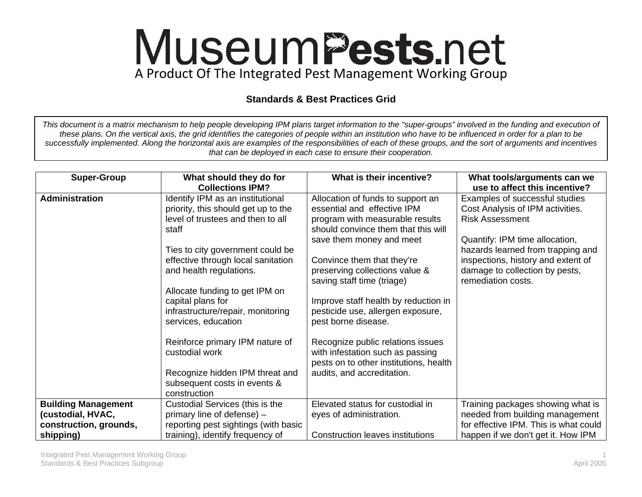## MuseumPests.net A Product Of The Integrated Pest Management Working Group

## **Standards & Best Practices Grid**

*This document is a matrix mechanism to help people developing IPM plans target information to the "super-groups" involved in the funding and execution of these plans. On the vertical axis, the grid identifies the categories of people within an institution who have to be influenced in order for a plan to be successfully implemented. Along the horizontal axis are examples of the responsibilities of each of these groups, and the sort of arguments and incentives that can be deployed in each case to ensure their cooperation.* 

| <b>Super-Group</b>         | What should they do for<br><b>Collections IPM?</b>                                                                                                                                                                                                                                                                                                                                                                                                                    | What is their incentive?                                                                                                                                                                                                                                                                                                                                                                                                                                                                                                  | What tools/arguments can we<br>use to affect this incentive?                                                                                                                                                                                                      |
|----------------------------|-----------------------------------------------------------------------------------------------------------------------------------------------------------------------------------------------------------------------------------------------------------------------------------------------------------------------------------------------------------------------------------------------------------------------------------------------------------------------|---------------------------------------------------------------------------------------------------------------------------------------------------------------------------------------------------------------------------------------------------------------------------------------------------------------------------------------------------------------------------------------------------------------------------------------------------------------------------------------------------------------------------|-------------------------------------------------------------------------------------------------------------------------------------------------------------------------------------------------------------------------------------------------------------------|
| <b>Administration</b>      | Identify IPM as an institutional<br>priority, this should get up to the<br>level of trustees and then to all<br>staff<br>Ties to city government could be<br>effective through local sanitation<br>and health regulations.<br>Allocate funding to get IPM on<br>capital plans for<br>infrastructure/repair, monitoring<br>services, education<br>Reinforce primary IPM nature of<br>custodial work<br>Recognize hidden IPM threat and<br>subsequent costs in events & | Allocation of funds to support an<br>essential and effective IPM<br>program with measurable results<br>should convince them that this will<br>save them money and meet<br>Convince them that they're<br>preserving collections value &<br>saving staff time (triage)<br>Improve staff health by reduction in<br>pesticide use, allergen exposure,<br>pest borne disease.<br>Recognize public relations issues<br>with infestation such as passing<br>pests on to other institutions, health<br>audits, and accreditation. | Examples of successful studies<br>Cost Analysis of IPM activities.<br><b>Risk Assessment</b><br>Quantify: IPM time allocation,<br>hazards learned from trapping and<br>inspections, history and extent of<br>damage to collection by pests,<br>remediation costs. |
|                            | construction                                                                                                                                                                                                                                                                                                                                                                                                                                                          |                                                                                                                                                                                                                                                                                                                                                                                                                                                                                                                           |                                                                                                                                                                                                                                                                   |
| <b>Building Management</b> | Custodial Services (this is the                                                                                                                                                                                                                                                                                                                                                                                                                                       | Elevated status for custodial in                                                                                                                                                                                                                                                                                                                                                                                                                                                                                          | Training packages showing what is                                                                                                                                                                                                                                 |
| (custodial, HVAC,          | primary line of defense) -                                                                                                                                                                                                                                                                                                                                                                                                                                            | eyes of administration.                                                                                                                                                                                                                                                                                                                                                                                                                                                                                                   | needed from building management                                                                                                                                                                                                                                   |
| construction, grounds,     | reporting pest sightings (with basic                                                                                                                                                                                                                                                                                                                                                                                                                                  |                                                                                                                                                                                                                                                                                                                                                                                                                                                                                                                           | for effective IPM. This is what could                                                                                                                                                                                                                             |
| shipping)                  | training), identify frequency of                                                                                                                                                                                                                                                                                                                                                                                                                                      | <b>Construction leaves institutions</b>                                                                                                                                                                                                                                                                                                                                                                                                                                                                                   | happen if we don't get it. How IPM                                                                                                                                                                                                                                |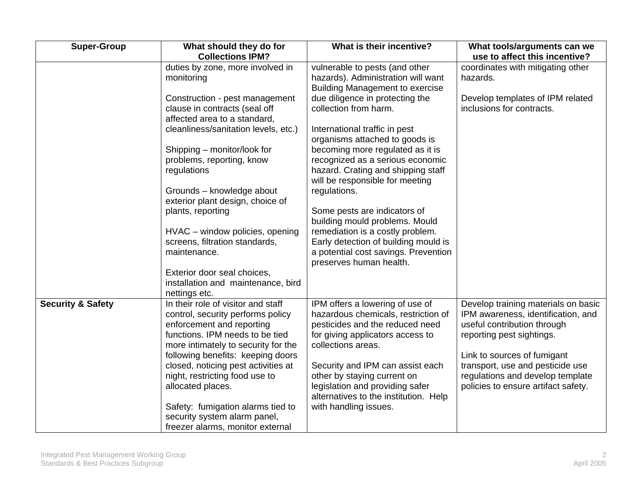| <b>Super-Group</b>           | What should they do for<br><b>Collections IPM?</b>                | What is their incentive?                                                 | What tools/arguments can we                                        |
|------------------------------|-------------------------------------------------------------------|--------------------------------------------------------------------------|--------------------------------------------------------------------|
|                              | duties by zone, more involved in                                  | vulnerable to pests (and other                                           | use to affect this incentive?<br>coordinates with mitigating other |
|                              | monitoring                                                        | hazards). Administration will want                                       | hazards.                                                           |
|                              |                                                                   | <b>Building Management to exercise</b>                                   |                                                                    |
|                              | Construction - pest management                                    | due diligence in protecting the                                          | Develop templates of IPM related                                   |
|                              | clause in contracts (seal off                                     | collection from harm.                                                    | inclusions for contracts.                                          |
|                              | affected area to a standard,                                      |                                                                          |                                                                    |
|                              | cleanliness/sanitation levels, etc.)                              | International traffic in pest                                            |                                                                    |
|                              |                                                                   | organisms attached to goods is                                           |                                                                    |
|                              | Shipping - monitor/look for                                       | becoming more regulated as it is                                         |                                                                    |
|                              | problems, reporting, know                                         | recognized as a serious economic                                         |                                                                    |
|                              | regulations                                                       | hazard. Crating and shipping staff                                       |                                                                    |
|                              |                                                                   | will be responsible for meeting                                          |                                                                    |
|                              | Grounds - knowledge about                                         | regulations.                                                             |                                                                    |
|                              | exterior plant design, choice of                                  |                                                                          |                                                                    |
|                              | plants, reporting                                                 | Some pests are indicators of                                             |                                                                    |
|                              |                                                                   | building mould problems. Mould                                           |                                                                    |
|                              | HVAC - window policies, opening<br>screens, filtration standards, | remediation is a costly problem.<br>Early detection of building mould is |                                                                    |
|                              | maintenance.                                                      | a potential cost savings. Prevention                                     |                                                                    |
|                              |                                                                   | preserves human health.                                                  |                                                                    |
|                              | Exterior door seal choices,                                       |                                                                          |                                                                    |
|                              | installation and maintenance, bird                                |                                                                          |                                                                    |
|                              | nettings etc.                                                     |                                                                          |                                                                    |
| <b>Security &amp; Safety</b> | In their role of visitor and staff                                | IPM offers a lowering of use of                                          | Develop training materials on basic                                |
|                              | control, security performs policy                                 | hazardous chemicals, restriction of                                      | IPM awareness, identification, and                                 |
|                              | enforcement and reporting                                         | pesticides and the reduced need                                          | useful contribution through                                        |
|                              | functions. IPM needs to be tied                                   | for giving applicators access to                                         | reporting pest sightings.                                          |
|                              | more intimately to security for the                               | collections areas.                                                       |                                                                    |
|                              | following benefits: keeping doors                                 |                                                                          | Link to sources of fumigant                                        |
|                              | closed, noticing pest activities at                               | Security and IPM can assist each                                         | transport, use and pesticide use                                   |
|                              | night, restricting food use to                                    | other by staying current on<br>legislation and providing safer           | regulations and develop template                                   |
|                              | allocated places.                                                 | alternatives to the institution. Help                                    | policies to ensure artifact safety.                                |
|                              | Safety: fumigation alarms tied to                                 | with handling issues.                                                    |                                                                    |
|                              | security system alarm panel,                                      |                                                                          |                                                                    |
|                              | freezer alarms, monitor external                                  |                                                                          |                                                                    |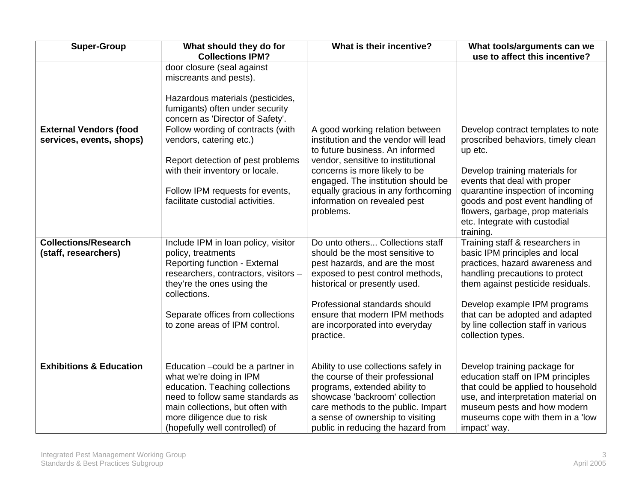| <b>Super-Group</b>                                        | What should they do for<br><b>Collections IPM?</b>                                                                                                                                                                                                     | What is their incentive?                                                                                                                                                                                                                                                                                    | What tools/arguments can we<br>use to affect this incentive?                                                                                                                                                                                                                                                     |
|-----------------------------------------------------------|--------------------------------------------------------------------------------------------------------------------------------------------------------------------------------------------------------------------------------------------------------|-------------------------------------------------------------------------------------------------------------------------------------------------------------------------------------------------------------------------------------------------------------------------------------------------------------|------------------------------------------------------------------------------------------------------------------------------------------------------------------------------------------------------------------------------------------------------------------------------------------------------------------|
|                                                           | door closure (seal against<br>miscreants and pests).<br>Hazardous materials (pesticides,<br>fumigants) often under security<br>concern as 'Director of Safety'.                                                                                        |                                                                                                                                                                                                                                                                                                             |                                                                                                                                                                                                                                                                                                                  |
| <b>External Vendors (food</b><br>services, events, shops) | Follow wording of contracts (with<br>vendors, catering etc.)<br>Report detection of pest problems<br>with their inventory or locale.<br>Follow IPM requests for events,<br>facilitate custodial activities.                                            | A good working relation between<br>institution and the vendor will lead<br>to future business. An informed<br>vendor, sensitive to institutional<br>concerns is more likely to be<br>engaged. The institution should be<br>equally gracious in any forthcoming<br>information on revealed pest<br>problems. | Develop contract templates to note<br>proscribed behaviors, timely clean<br>up etc.<br>Develop training materials for<br>events that deal with proper<br>quarantine inspection of incoming<br>goods and post event handling of<br>flowers, garbage, prop materials<br>etc. Integrate with custodial<br>training. |
| <b>Collections/Research</b><br>(staff, researchers)       | Include IPM in loan policy, visitor<br>policy, treatments<br>Reporting function - External<br>researchers, contractors, visitors -<br>they're the ones using the<br>collections.<br>Separate offices from collections<br>to zone areas of IPM control. | Do unto others Collections staff<br>should be the most sensitive to<br>pest hazards, and are the most<br>exposed to pest control methods,<br>historical or presently used.<br>Professional standards should<br>ensure that modern IPM methods<br>are incorporated into everyday<br>practice.                | Training staff & researchers in<br>basic IPM principles and local<br>practices, hazard awareness and<br>handling precautions to protect<br>them against pesticide residuals.<br>Develop example IPM programs<br>that can be adopted and adapted<br>by line collection staff in various<br>collection types.      |
| <b>Exhibitions &amp; Education</b>                        | Education - could be a partner in<br>what we're doing in IPM<br>education. Teaching collections<br>need to follow same standards as<br>main collections, but often with<br>more diligence due to risk<br>(hopefully well controlled) of                | Ability to use collections safely in<br>the course of their professional<br>programs, extended ability to<br>showcase 'backroom' collection<br>care methods to the public. Impart<br>a sense of ownership to visiting<br>public in reducing the hazard from                                                 | Develop training package for<br>education staff on IPM principles<br>that could be applied to household<br>use, and interpretation material on<br>museum pests and how modern<br>museums cope with them in a 'low<br>impact' way.                                                                                |